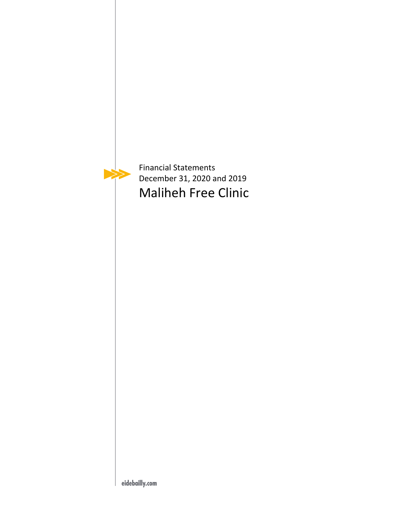

Financial Statements December 31, 2020 and 2019 Maliheh Free Clinic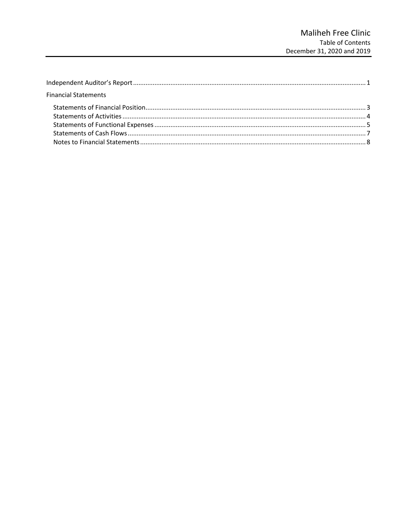| <b>Financial Statements</b> |  |
|-----------------------------|--|
|                             |  |
|                             |  |
|                             |  |
|                             |  |
|                             |  |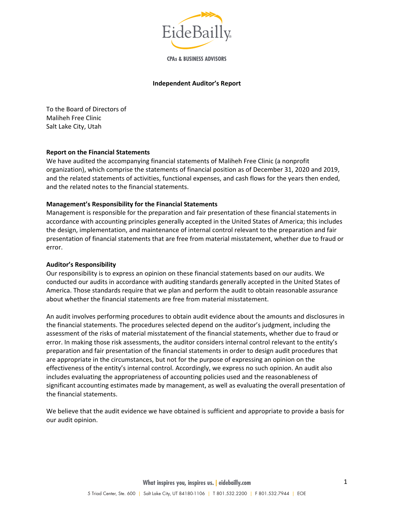

**CPAs & BUSINESS ADVISORS** 

#### **Independent Auditor's Report**

To the Board of Directors of Maliheh Free Clinic Salt Lake City, Utah

#### **Report on the Financial Statements**

We have audited the accompanying financial statements of Maliheh Free Clinic (a nonprofit organization), which comprise the statements of financial position as of December 31, 2020 and 2019, and the related statements of activities, functional expenses, and cash flows for the years then ended, and the related notes to the financial statements.

#### **Management's Responsibility for the Financial Statements**

Management is responsible for the preparation and fair presentation of these financial statements in accordance with accounting principles generally accepted in the United States of America; this includes the design, implementation, and maintenance of internal control relevant to the preparation and fair presentation of financial statements that are free from material misstatement, whether due to fraud or error.

#### **Auditor's Responsibility**

Our responsibility is to express an opinion on these financial statements based on our audits. We conducted our audits in accordance with auditing standards generally accepted in the United States of America. Those standards require that we plan and perform the audit to obtain reasonable assurance about whether the financial statements are free from material misstatement.

An audit involves performing procedures to obtain audit evidence about the amounts and disclosures in the financial statements. The procedures selected depend on the auditor's judgment, including the assessment of the risks of material misstatement of the financial statements, whether due to fraud or error. In making those risk assessments, the auditor considers internal control relevant to the entity's preparation and fair presentation of the financial statements in order to design audit procedures that are appropriate in the circumstances, but not for the purpose of expressing an opinion on the effectiveness of the entity's internal control. Accordingly, we express no such opinion. An audit also includes evaluating the appropriateness of accounting policies used and the reasonableness of significant accounting estimates made by management, as well as evaluating the overall presentation of the financial statements.

We believe that the audit evidence we have obtained is sufficient and appropriate to provide a basis for our audit opinion.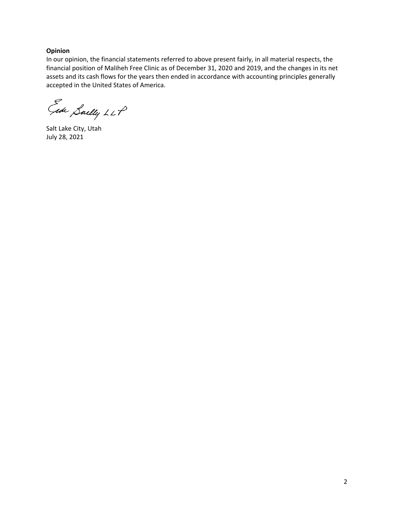### **Opinion**

In our opinion, the financial statements referred to above present fairly, in all material respects, the financial position of Maliheh Free Clinic as of December 31, 2020 and 2019, and the changes in its net assets and its cash flows for the years then ended in accordance with accounting principles generally accepted in the United States of America.

Gede Saelly LLP

Salt Lake City, Utah July 28, 2021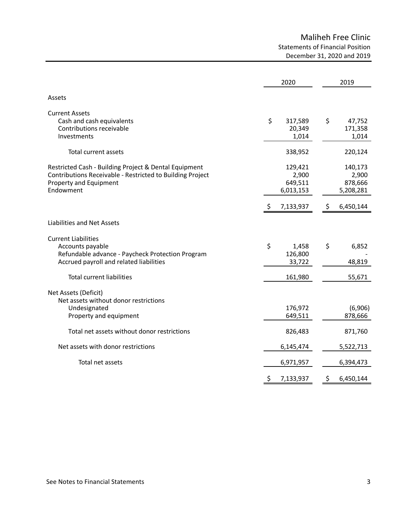# Maliheh Free Clinic Statements of Financial Position December 31, 2020 and 2019

|                                                                                                                                                           | 2020                                                       | 2019                                                         |
|-----------------------------------------------------------------------------------------------------------------------------------------------------------|------------------------------------------------------------|--------------------------------------------------------------|
| Assets                                                                                                                                                    |                                                            |                                                              |
| <b>Current Assets</b><br>Cash and cash equivalents<br>Contributions receivable<br>Investments                                                             | \$<br>317,589<br>20,349<br>1,014                           | \$<br>47,752<br>171,358<br>1,014                             |
| Total current assets                                                                                                                                      | 338,952                                                    | 220,124                                                      |
| Restricted Cash - Building Project & Dental Equipment<br>Contributions Receivable - Restricted to Building Project<br>Property and Equipment<br>Endowment | 129,421<br>2,900<br>649,511<br>6,013,153<br>7,133,937<br>S | 140,173<br>2,900<br>878,666<br>5,208,281<br>6,450,144<br>\$. |
| Liabilities and Net Assets                                                                                                                                |                                                            |                                                              |
| <b>Current Liabilities</b><br>Accounts payable<br>Refundable advance - Paycheck Protection Program<br>Accrued payroll and related liabilities             | \$<br>1,458<br>126,800<br>33,722                           | \$<br>6,852<br>48,819                                        |
| <b>Total current liabilities</b>                                                                                                                          | 161,980                                                    | 55,671                                                       |
| Net Assets (Deficit)<br>Net assets without donor restrictions<br>Undesignated<br>Property and equipment                                                   | 176,972<br>649,511                                         | (6,906)<br>878,666                                           |
| Total net assets without donor restrictions                                                                                                               | 826,483                                                    | 871,760                                                      |
| Net assets with donor restrictions                                                                                                                        | 6,145,474                                                  | 5,522,713                                                    |
| Total net assets                                                                                                                                          | 6,971,957                                                  | 6,394,473                                                    |
|                                                                                                                                                           | \$<br>7,133,937                                            | \$<br>6,450,144                                              |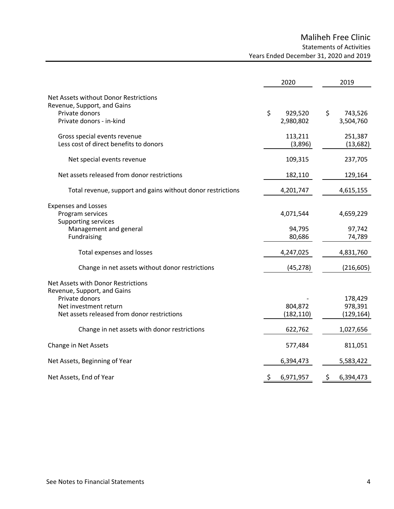# Maliheh Free Clinic Statements of Activities Years Ended December 31, 2020 and 2019

|                                                                                        | 2020               | 2019                 |
|----------------------------------------------------------------------------------------|--------------------|----------------------|
| Net Assets without Donor Restrictions<br>Revenue, Support, and Gains<br>Private donors | \$<br>929,520      | \$<br>743,526        |
| Private donors - in-kind                                                               | 2,980,802          | 3,504,760            |
| Gross special events revenue<br>Less cost of direct benefits to donors                 | 113,211<br>(3,896) | 251,387<br>(13, 682) |
| Net special events revenue                                                             | 109,315            | 237,705              |
| Net assets released from donor restrictions                                            | 182,110            | 129,164              |
| Total revenue, support and gains without donor restrictions                            | 4,201,747          | 4,615,155            |
| <b>Expenses and Losses</b><br>Program services                                         | 4,071,544          | 4,659,229            |
| Supporting services<br>Management and general<br>Fundraising                           | 94,795<br>80,686   | 97,742<br>74,789     |
| Total expenses and losses                                                              | 4,247,025          | 4,831,760            |
| Change in net assets without donor restrictions                                        | (45, 278)          | (216, 605)           |
| Net Assets with Donor Restrictions<br>Revenue, Support, and Gains                      |                    |                      |
| Private donors<br>Net investment return                                                | 804,872            | 178,429<br>978,391   |
| Net assets released from donor restrictions                                            | (182, 110)         | (129, 164)           |
| Change in net assets with donor restrictions                                           | 622,762            | 1,027,656            |
| Change in Net Assets                                                                   | 577,484            | 811,051              |
| Net Assets, Beginning of Year                                                          | 6,394,473          | 5,583,422            |
| Net Assets, End of Year                                                                | 6,971,957<br>\$    | \$<br>6,394,473      |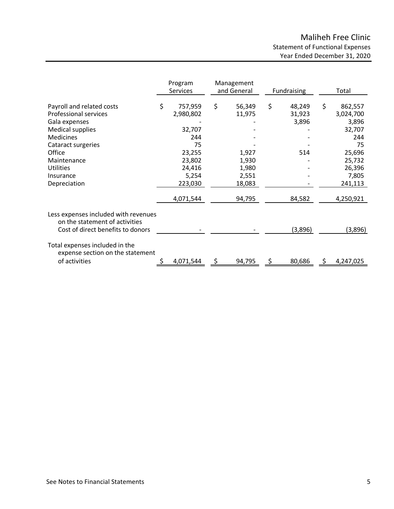|                                                                                                                    | Program<br>Services                                  | Management<br>and General                  | <b>Fundraising</b>              |    | Total                                                |
|--------------------------------------------------------------------------------------------------------------------|------------------------------------------------------|--------------------------------------------|---------------------------------|----|------------------------------------------------------|
| Payroll and related costs<br><b>Professional services</b><br>Gala expenses<br>Medical supplies<br><b>Medicines</b> | \$<br>757,959<br>2,980,802<br>32,707<br>244          | \$<br>56,349<br>11,975                     | \$<br>48,249<br>31,923<br>3,896 | \$ | 862,557<br>3,024,700<br>3,896<br>32,707<br>244       |
| Cataract surgeries<br>Office<br>Maintenance<br><b>Utilities</b><br>Insurance<br>Depreciation                       | 75<br>23,255<br>23,802<br>24,416<br>5,254<br>223,030 | 1,927<br>1,930<br>1,980<br>2,551<br>18,083 | 514                             |    | 75<br>25,696<br>25,732<br>26,396<br>7,805<br>241,113 |
| Less expenses included with revenues                                                                               | 4,071,544                                            | 94,795                                     | 84,582                          |    | 4,250,921                                            |
| on the statement of activities<br>Cost of direct benefits to donors<br>Total expenses included in the              |                                                      |                                            | (3,896)                         |    | (3,896)                                              |
| expense section on the statement<br>of activities                                                                  | 4,071,544                                            | 94,795                                     | 80,686                          | S  | 4,247,025                                            |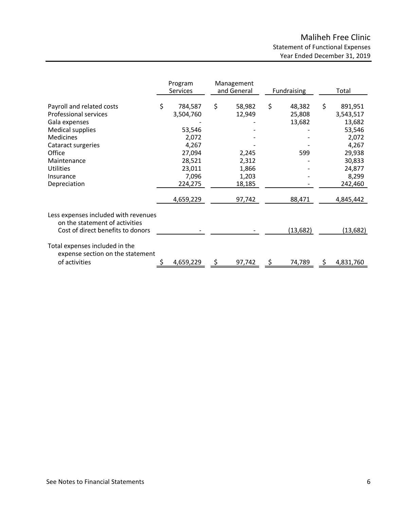|                                                                        | Program<br>Services | Management<br>and General | Fundraising  | Total         |
|------------------------------------------------------------------------|---------------------|---------------------------|--------------|---------------|
| Payroll and related costs                                              | \$<br>784,587       | \$<br>58,982              | \$<br>48,382 | \$<br>891,951 |
| Professional services                                                  | 3,504,760           | 12,949                    | 25,808       | 3,543,517     |
| Gala expenses                                                          |                     |                           | 13,682       | 13,682        |
| Medical supplies                                                       | 53,546              |                           |              | 53,546        |
| <b>Medicines</b>                                                       | 2,072               |                           |              | 2,072         |
| Cataract surgeries                                                     | 4,267               |                           |              | 4,267         |
| Office                                                                 | 27,094              | 2,245                     | 599          | 29,938        |
| Maintenance                                                            | 28,521              | 2,312                     |              | 30,833        |
| <b>Utilities</b>                                                       | 23,011              | 1,866                     |              | 24,877        |
| Insurance                                                              | 7,096               | 1,203                     |              | 8,299         |
| Depreciation                                                           | 224,275             | 18,185                    |              | 242,460       |
|                                                                        | 4,659,229           | 97,742                    | 88,471       | 4,845,442     |
| Less expenses included with revenues<br>on the statement of activities |                     |                           |              |               |
| Cost of direct benefits to donors                                      |                     |                           | (13, 682)    | (13,682)      |
| Total expenses included in the<br>expense section on the statement     |                     |                           |              |               |
| of activities                                                          | 4,659,229           | 97,742                    | 74,789       | 4,831,760     |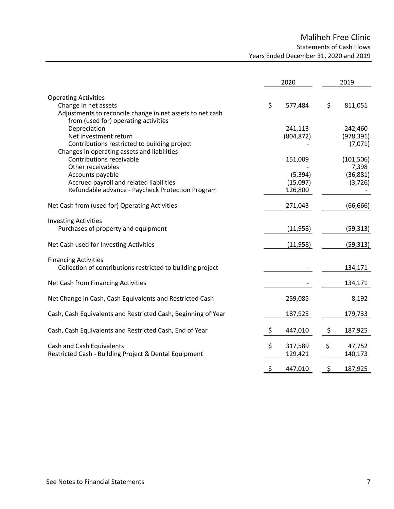# Maliheh Free Clinic Statements of Cash Flows Years Ended December 31, 2020 and 2019

|                                                                                                                                                          | 2020                            | 2019                                         |
|----------------------------------------------------------------------------------------------------------------------------------------------------------|---------------------------------|----------------------------------------------|
| <b>Operating Activities</b><br>Change in net assets<br>Adjustments to reconcile change in net assets to net cash<br>from (used for) operating activities | \$<br>577,484                   | \$<br>811,051                                |
| Depreciation<br>Net investment return<br>Contributions restricted to building project<br>Changes in operating assets and liabilities                     | 241,113<br>(804, 872)           | 242,460<br>(978, 391)<br>(7,071)             |
| Contributions receivable<br>Other receivables<br>Accounts payable<br>Accrued payroll and related liabilities                                             | 151,009<br>(5, 394)<br>(15,097) | (101, 506)<br>7,398<br>(36, 881)<br>(3, 726) |
| Refundable advance - Paycheck Protection Program<br>Net Cash from (used for) Operating Activities                                                        | 126,800<br>271,043              | (66, 666)                                    |
| <b>Investing Activities</b><br>Purchases of property and equipment                                                                                       | (11,958)                        | (59, 313)                                    |
| Net Cash used for Investing Activities                                                                                                                   | (11,958)                        | (59, 313)                                    |
| <b>Financing Activities</b><br>Collection of contributions restricted to building project                                                                |                                 | 134,171                                      |
| Net Cash from Financing Activities                                                                                                                       |                                 | 134,171                                      |
| Net Change in Cash, Cash Equivalents and Restricted Cash                                                                                                 | 259,085                         | 8,192                                        |
| Cash, Cash Equivalents and Restricted Cash, Beginning of Year                                                                                            | 187,925                         | 179,733                                      |
| Cash, Cash Equivalents and Restricted Cash, End of Year                                                                                                  | 447,010                         | \$<br>187,925                                |
| Cash and Cash Equivalents<br>Restricted Cash - Building Project & Dental Equipment                                                                       | \$<br>317,589<br>129,421        | \$<br>47,752<br>140,173                      |
|                                                                                                                                                          | \$<br>447,010                   | \$<br>187,925                                |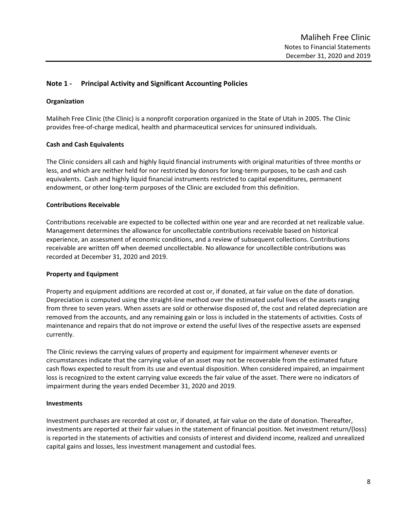# **Note 1 - Principal Activity and Significant Accounting Policies**

## **Organization**

Maliheh Free Clinic (the Clinic) is a nonprofit corporation organized in the State of Utah in 2005. The Clinic provides free-of-charge medical, health and pharmaceutical services for uninsured individuals.

## **Cash and Cash Equivalents**

The Clinic considers all cash and highly liquid financial instruments with original maturities of three months or less, and which are neither held for nor restricted by donors for long-term purposes, to be cash and cash equivalents. Cash and highly liquid financial instruments restricted to capital expenditures, permanent endowment, or other long-term purposes of the Clinic are excluded from this definition.

### **Contributions Receivable**

Contributions receivable are expected to be collected within one year and are recorded at net realizable value. Management determines the allowance for uncollectable contributions receivable based on historical experience, an assessment of economic conditions, and a review of subsequent collections. Contributions receivable are written off when deemed uncollectable. No allowance for uncollectible contributions was recorded at December 31, 2020 and 2019.

### **Property and Equipment**

Property and equipment additions are recorded at cost or, if donated, at fair value on the date of donation. Depreciation is computed using the straight-line method over the estimated useful lives of the assets ranging from three to seven years. When assets are sold or otherwise disposed of, the cost and related depreciation are removed from the accounts, and any remaining gain or loss is included in the statements of activities. Costs of maintenance and repairs that do not improve or extend the useful lives of the respective assets are expensed currently.

The Clinic reviews the carrying values of property and equipment for impairment whenever events or circumstances indicate that the carrying value of an asset may not be recoverable from the estimated future cash flows expected to result from its use and eventual disposition. When considered impaired, an impairment loss is recognized to the extent carrying value exceeds the fair value of the asset. There were no indicators of impairment during the years ended December 31, 2020 and 2019.

### **Investments**

Investment purchases are recorded at cost or, if donated, at fair value on the date of donation. Thereafter, investments are reported at their fair values in the statement of financial position. Net investment return/(loss) is reported in the statements of activities and consists of interest and dividend income, realized and unrealized capital gains and losses, less investment management and custodial fees.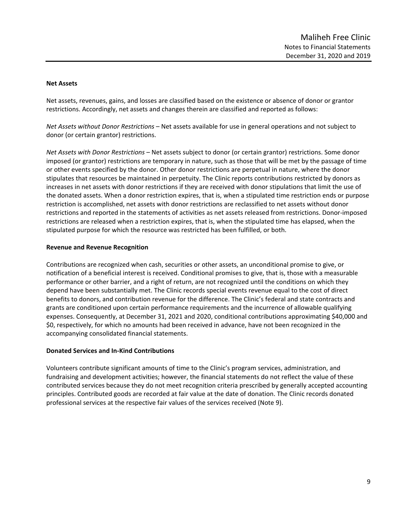### **Net Assets**

Net assets, revenues, gains, and losses are classified based on the existence or absence of donor or grantor restrictions. Accordingly, net assets and changes therein are classified and reported as follows:

*Net Assets without Donor Restrictions* – Net assets available for use in general operations and not subject to donor (or certain grantor) restrictions.

*Net Assets with Donor Restrictions* – Net assets subject to donor (or certain grantor) restrictions. Some donor imposed (or grantor) restrictions are temporary in nature, such as those that will be met by the passage of time or other events specified by the donor. Other donor restrictions are perpetual in nature, where the donor stipulates that resources be maintained in perpetuity. The Clinic reports contributions restricted by donors as increases in net assets with donor restrictions if they are received with donor stipulations that limit the use of the donated assets. When a donor restriction expires, that is, when a stipulated time restriction ends or purpose restriction is accomplished, net assets with donor restrictions are reclassified to net assets without donor restrictions and reported in the statements of activities as net assets released from restrictions. Donor‐imposed restrictions are released when a restriction expires, that is, when the stipulated time has elapsed, when the stipulated purpose for which the resource was restricted has been fulfilled, or both.

#### **Revenue and Revenue Recognition**

Contributions are recognized when cash, securities or other assets, an unconditional promise to give, or notification of a beneficial interest is received. Conditional promises to give, that is, those with a measurable performance or other barrier, and a right of return, are not recognized until the conditions on which they depend have been substantially met. The Clinic records special events revenue equal to the cost of direct benefits to donors, and contribution revenue for the difference. The Clinic's federal and state contracts and grants are conditioned upon certain performance requirements and the incurrence of allowable qualifying expenses. Consequently, at December 31, 2021 and 2020, conditional contributions approximating \$40,000 and \$0, respectively, for which no amounts had been received in advance, have not been recognized in the accompanying consolidated financial statements.

### **Donated Services and In-Kind Contributions**

Volunteers contribute significant amounts of time to the Clinic's program services, administration, and fundraising and development activities; however, the financial statements do not reflect the value of these contributed services because they do not meet recognition criteria prescribed by generally accepted accounting principles. Contributed goods are recorded at fair value at the date of donation. The Clinic records donated professional services at the respective fair values of the services received (Note 9).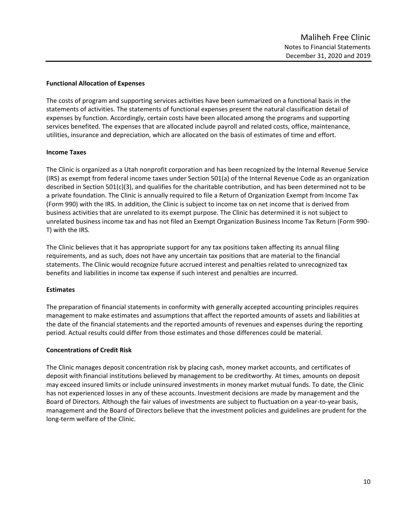## **Functional Allocation of Expenses**

The costs of program and supporting services activities have been summarized on a functional basis in the statements of activities. The statements of functional expenses present the natural classification detail of expenses by function. Accordingly, certain costs have been allocated among the programs and supporting services benefited. The expenses that are allocated include payroll and related costs, office, maintenance, utilities, insurance and depreciation, which are allocated on the basis of estimates of time and effort.

## **Income Taxes**

The Clinic is organized as a Utah nonprofit corporation and has been recognized by the Internal Revenue Service (IRS) as exempt from federal income taxes under Section 501(a) of the Internal Revenue Code as an organization described in Section 501(c)(3), and qualifies for the charitable contribution, and has been determined not to be a private foundation. The Clinic is annually required to file a Return of Organization Exempt from Income Tax (Form 990) with the IRS. In addition, the Clinic is subject to income tax on net income that is derived from business activities that are unrelated to its exempt purpose. The Clinic has determined it is not subject to unrelated business income tax and has not filed an Exempt Organization Business Income Tax Return (Form 990- T) with the IRS.

The Clinic believes that it has appropriate support for any tax positions taken affecting its annual filing requirements, and as such, does not have any uncertain tax positions that are material to the financial statements. The Clinic would recognize future accrued interest and penalties related to unrecognized tax benefits and liabilities in income tax expense if such interest and penalties are incurred.

# **Estimates**

The preparation of financial statements in conformity with generally accepted accounting principles requires management to make estimates and assumptions that affect the reported amounts of assets and liabilities at the date of the financial statements and the reported amounts of revenues and expenses during the reporting period. Actual results could differ from those estimates and those differences could be material.

# **Concentrations of Credit Risk**

The Clinic manages deposit concentration risk by placing cash, money market accounts, and certificates of deposit with financial institutions believed by management to be creditworthy. At times, amounts on deposit may exceed insured limits or include uninsured investments in money market mutual funds. To date, the Clinic has not experienced losses in any of these accounts. Investment decisions are made by management and the Board of Directors. Although the fair values of investments are subject to fluctuation on a year-to-year basis, management and the Board of Directors believe that the investment policies and guidelines are prudent for the long-term welfare of the Clinic.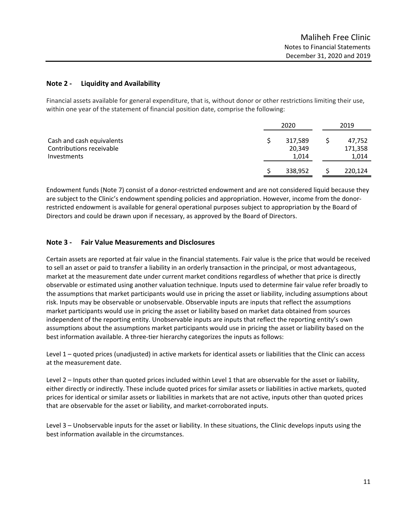# **Note 2 - Liquidity and Availability**

Financial assets available for general expenditure, that is, without donor or other restrictions limiting their use, within one year of the statement of financial position date, comprise the following:

|                                                                      | 2020                       | 2019                       |
|----------------------------------------------------------------------|----------------------------|----------------------------|
| Cash and cash equivalents<br>Contributions receivable<br>Investments | 317,589<br>20,349<br>1,014 | 47,752<br>171,358<br>1,014 |
|                                                                      | 338,952                    | 220,124                    |

Endowment funds (Note 7) consist of a donor-restricted endowment and are not considered liquid because they are subject to the Clinic's endowment spending policies and appropriation. However, income from the donorrestricted endowment is available for general operational purposes subject to appropriation by the Board of Directors and could be drawn upon if necessary, as approved by the Board of Directors.

# **Note 3 - Fair Value Measurements and Disclosures**

Certain assets are reported at fair value in the financial statements. Fair value is the price that would be received to sell an asset or paid to transfer a liability in an orderly transaction in the principal, or most advantageous, market at the measurement date under current market conditions regardless of whether that price is directly observable or estimated using another valuation technique. Inputs used to determine fair value refer broadly to the assumptions that market participants would use in pricing the asset or liability, including assumptions about risk. Inputs may be observable or unobservable. Observable inputs are inputs that reflect the assumptions market participants would use in pricing the asset or liability based on market data obtained from sources independent of the reporting entity. Unobservable inputs are inputs that reflect the reporting entity's own assumptions about the assumptions market participants would use in pricing the asset or liability based on the best information available. A three-tier hierarchy categorizes the inputs as follows:

Level 1 – quoted prices (unadjusted) in active markets for identical assets or liabilities that the Clinic can access at the measurement date.

Level 2 – Inputs other than quoted prices included within Level 1 that are observable for the asset or liability, either directly or indirectly. These include quoted prices for similar assets or liabilities in active markets, quoted prices for identical or similar assets or liabilities in markets that are not active, inputs other than quoted prices that are observable for the asset or liability, and market-corroborated inputs.

Level 3 – Unobservable inputs for the asset or liability. In these situations, the Clinic develops inputs using the best information available in the circumstances.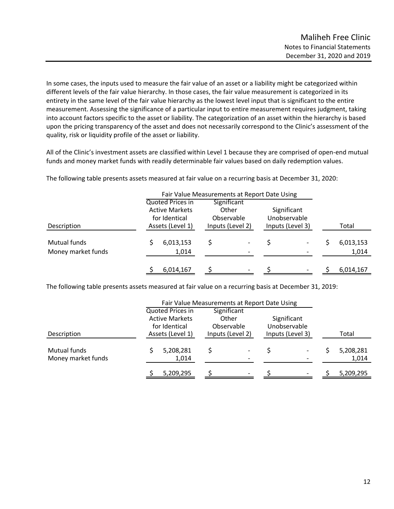In some cases, the inputs used to measure the fair value of an asset or a liability might be categorized within different levels of the fair value hierarchy. In those cases, the fair value measurement is categorized in its entirety in the same level of the fair value hierarchy as the lowest level input that is significant to the entire measurement. Assessing the significance of a particular input to entire measurement requires judgment, taking into account factors specific to the asset or liability. The categorization of an asset within the hierarchy is based upon the pricing transparency of the asset and does not necessarily correspond to the Clinic's assessment of the quality, risk or liquidity profile of the asset or liability.

All of the Clinic's investment assets are classified within Level 1 because they are comprised of open-end mutual funds and money market funds with readily determinable fair values based on daily redemption values.

|                                    |                                                                                | Fair Value Measurements at Report Date Using           |                                                 |                    |
|------------------------------------|--------------------------------------------------------------------------------|--------------------------------------------------------|-------------------------------------------------|--------------------|
| Description                        | Quoted Prices in<br><b>Active Markets</b><br>for Identical<br>Assets (Level 1) | Significant<br>Other<br>Observable<br>Inputs (Level 2) | Significant<br>Unobservable<br>Inputs (Level 3) | Total              |
| Mutual funds<br>Money market funds | 6,013,153<br>1,014                                                             | -<br>$\overline{\phantom{a}}$                          |                                                 | 6,013,153<br>1,014 |
|                                    | 6,014,167                                                                      | -                                                      |                                                 | 6,014,167          |

The following table presents assets measured at fair value on a recurring basis at December 31, 2020:

The following table presents assets measured at fair value on a recurring basis at December 31, 2019:

|                                    |                                                                                | Fair Value Measurements at Report Date Using           |                                                 |                    |
|------------------------------------|--------------------------------------------------------------------------------|--------------------------------------------------------|-------------------------------------------------|--------------------|
| Description                        | Quoted Prices in<br><b>Active Markets</b><br>for Identical<br>Assets (Level 1) | Significant<br>Other<br>Observable<br>Inputs (Level 2) | Significant<br>Unobservable<br>Inputs (Level 3) | Total              |
| Mutual funds<br>Money market funds | 5,208,281<br>1,014                                                             | $\overline{\phantom{a}}$                               |                                                 | 5,208,281<br>1,014 |
|                                    | 5,209,295                                                                      | $\overline{\phantom{0}}$                               |                                                 | 5,209,295          |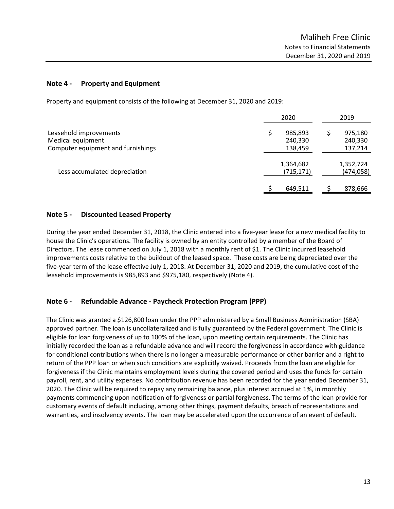## **Note 4 - Property and Equipment**

Property and equipment consists of the following at December 31, 2020 and 2019:

|                                             | 2020                    | 2019                    |
|---------------------------------------------|-------------------------|-------------------------|
| Leasehold improvements<br>Medical equipment | 985,893<br>240,330      | 975,180<br>240,330      |
| Computer equipment and furnishings          | 138,459                 | 137,214                 |
| Less accumulated depreciation               | 1,364,682<br>(715, 171) | 1,352,724<br>(474, 058) |
|                                             | 649,511                 | 878,666                 |

## **Note 5 - Discounted Leased Property**

During the year ended December 31, 2018, the Clinic entered into a five-year lease for a new medical facility to house the Clinic's operations. The facility is owned by an entity controlled by a member of the Board of Directors. The lease commenced on July 1, 2018 with a monthly rent of \$1. The Clinic incurred leasehold improvements costs relative to the buildout of the leased space. These costs are being depreciated over the five-year term of the lease effective July 1, 2018. At December 31, 2020 and 2019, the cumulative cost of the leasehold improvements is 985,893 and \$975,180, respectively (Note 4).

# **Note 6 - Refundable Advance - Paycheck Protection Program (PPP)**

The Clinic was granted a \$126,800 loan under the PPP administered by a Small Business Administration (SBA) approved partner. The loan is uncollateralized and is fully guaranteed by the Federal government. The Clinic is eligible for loan forgiveness of up to 100% of the loan, upon meeting certain requirements. The Clinic has initially recorded the loan as a refundable advance and will record the forgiveness in accordance with guidance for conditional contributions when there is no longer a measurable performance or other barrier and a right to return of the PPP loan or when such conditions are explicitly waived. Proceeds from the loan are eligible for forgiveness if the Clinic maintains employment levels during the covered period and uses the funds for certain payroll, rent, and utility expenses. No contribution revenue has been recorded for the year ended December 31, 2020. The Clinic will be required to repay any remaining balance, plus interest accrued at 1%, in monthly payments commencing upon notification of forgiveness or partial forgiveness. The terms of the loan provide for customary events of default including, among other things, payment defaults, breach of representations and warranties, and insolvency events. The loan may be accelerated upon the occurrence of an event of default.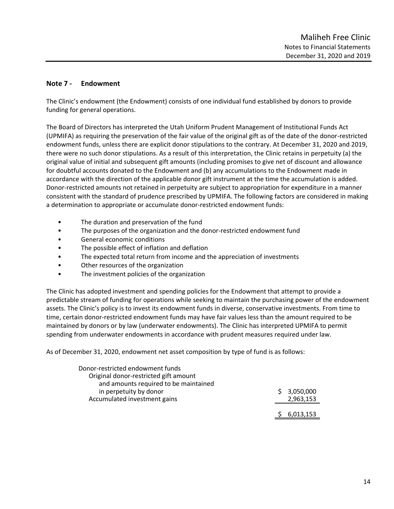# **Note 7 - Endowment**

The Clinic's endowment (the Endowment) consists of one individual fund established by donors to provide funding for general operations.

The Board of Directors has interpreted the Utah Uniform Prudent Management of Institutional Funds Act (UPMIFA) as requiring the preservation of the fair value of the original gift as of the date of the donor-restricted endowment funds, unless there are explicit donor stipulations to the contrary. At December 31, 2020 and 2019, there were no such donor stipulations. As a result of this interpretation, the Clinic retains in perpetuity (a) the original value of initial and subsequent gift amounts (including promises to give net of discount and allowance for doubtful accounts donated to the Endowment and (b) any accumulations to the Endowment made in accordance with the direction of the applicable donor gift instrument at the time the accumulation is added. Donor-restricted amounts not retained in perpetuity are subject to appropriation for expenditure in a manner consistent with the standard of prudence prescribed by UPMIFA. The following factors are considered in making a determination to appropriate or accumulate donor‐restricted endowment funds:

- The duration and preservation of the fund
- The purposes of the organization and the donor-restricted endowment fund
- General economic conditions
- The possible effect of inflation and deflation
- The expected total return from income and the appreciation of investments
- Other resources of the organization
- The investment policies of the organization

The Clinic has adopted investment and spending policies for the Endowment that attempt to provide a predictable stream of funding for operations while seeking to maintain the purchasing power of the endowment assets. The Clinic's policy is to invest its endowment funds in diverse, conservative investments. From time to time, certain donor-restricted endowment funds may have fair values less than the amount required to be maintained by donors or by law (underwater endowments). The Clinic has interpreted UPMIFA to permit spending from underwater endowments in accordance with prudent measures required under law.

As of December 31, 2020, endowment net asset composition by type of fund is as follows:

| Donor-restricted endowment funds      |           |
|---------------------------------------|-----------|
| Original donor-restricted gift amount |           |
| and amounts required to be maintained |           |
| in perpetuity by donor                | 3,050,000 |
| Accumulated investment gains          | 2,963,153 |
|                                       |           |
|                                       | 6,013,153 |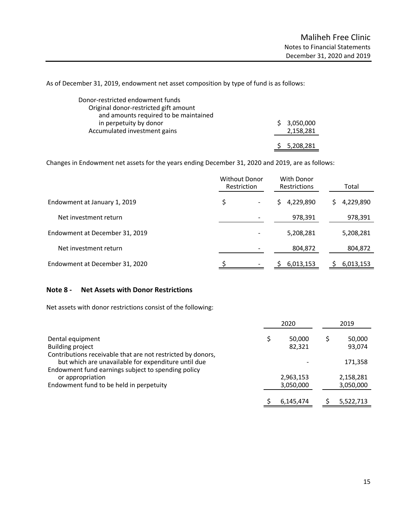As of December 31, 2019, endowment net asset composition by type of fund is as follows:

| Donor-restricted endowment funds      |             |
|---------------------------------------|-------------|
| Original donor-restricted gift amount |             |
| and amounts required to be maintained |             |
| in perpetuity by donor                | \$3,050,000 |
| Accumulated investment gains          | 2,158,281   |
|                                       |             |
|                                       | 5,208,281   |

Changes in Endowment net assets for the years ending December 31, 2020 and 2019, are as follows:

|                                | <b>Without Donor</b><br>Restriction | With Donor<br><b>Restrictions</b> | Total     |
|--------------------------------|-------------------------------------|-----------------------------------|-----------|
| Endowment at January 1, 2019   | \$<br>$\overline{\phantom{a}}$      | 4,229,890<br>S.                   | 4,229,890 |
| Net investment return          |                                     | 978,391                           | 978,391   |
| Endowment at December 31, 2019 | $\overline{\phantom{a}}$            | 5,208,281                         | 5,208,281 |
| Net investment return          |                                     | 804,872                           | 804,872   |
| Endowment at December 31, 2020 |                                     | 6,013,153                         | 6,013,153 |

## **Note 8 - Net Assets with Donor Restrictions**

Net assets with donor restrictions consist of the following:

|                                                                                                                    |  | 2020      |   | 2019      |  |
|--------------------------------------------------------------------------------------------------------------------|--|-----------|---|-----------|--|
| Dental equipment                                                                                                   |  | 50,000    | S | 50,000    |  |
| <b>Building project</b>                                                                                            |  | 82,321    |   | 93,074    |  |
| Contributions receivable that are not restricted by donors,<br>but which are unavailable for expenditure until due |  |           |   | 171,358   |  |
| Endowment fund earnings subject to spending policy<br>or appropriation                                             |  | 2,963,153 |   | 2,158,281 |  |
| Endowment fund to be held in perpetuity                                                                            |  | 3,050,000 |   | 3,050,000 |  |
|                                                                                                                    |  | 6,145,474 |   | 5,522,713 |  |